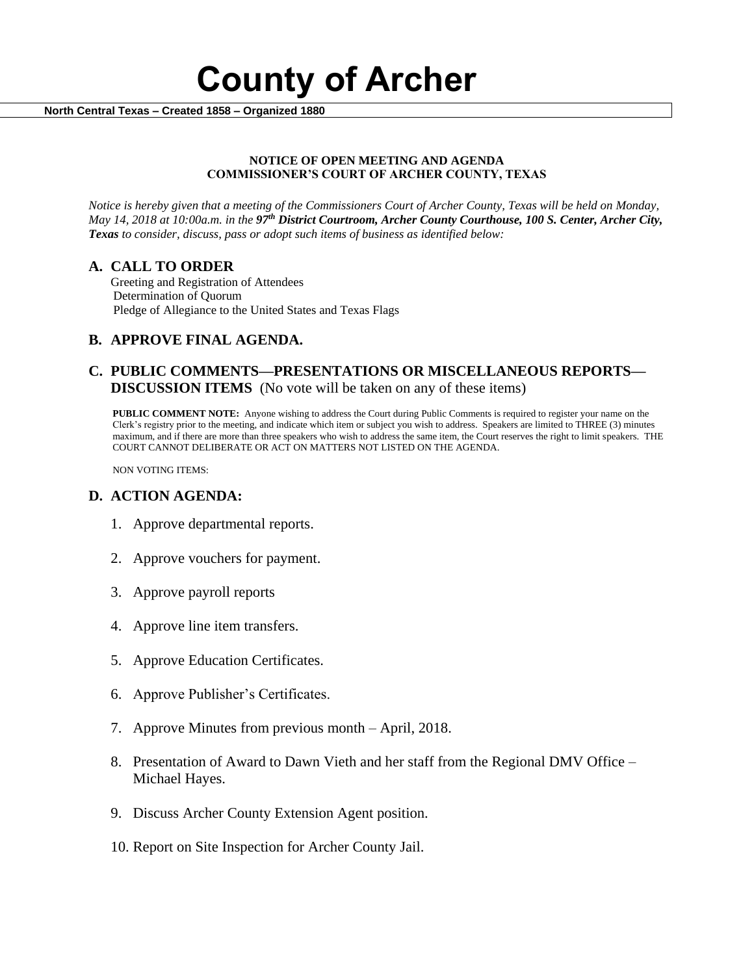

 **North Central Texas – Created 1858 – Organized 1880**

#### **NOTICE OF OPEN MEETING AND AGENDA COMMISSIONER'S COURT OF ARCHER COUNTY, TEXAS**

*Notice is hereby given that a meeting of the Commissioners Court of Archer County, Texas will be held on Monday, May 14, 2018 at 10:00a.m. in the 97th District Courtroom, Archer County Courthouse, 100 S. Center, Archer City, Texas to consider, discuss, pass or adopt such items of business as identified below:*

## **A. CALL TO ORDER**

 Greeting and Registration of Attendees Determination of Quorum Pledge of Allegiance to the United States and Texas Flags

# **B. APPROVE FINAL AGENDA.**

# **C. PUBLIC COMMENTS—PRESENTATIONS OR MISCELLANEOUS REPORTS— DISCUSSION ITEMS** (No vote will be taken on any of these items)

**PUBLIC COMMENT NOTE:** Anyone wishing to address the Court during Public Comments is required to register your name on the Clerk's registry prior to the meeting, and indicate which item or subject you wish to address. Speakers are limited to THREE (3) minutes maximum, and if there are more than three speakers who wish to address the same item, the Court reserves the right to limit speakers. THE COURT CANNOT DELIBERATE OR ACT ON MATTERS NOT LISTED ON THE AGENDA.

NON VOTING ITEMS:

## **D. ACTION AGENDA:**

- 1. Approve departmental reports.
- 2. Approve vouchers for payment.
- 3. Approve payroll reports
- 4. Approve line item transfers.
- 5. Approve Education Certificates.
- 6. Approve Publisher's Certificates.
- 7. Approve Minutes from previous month April, 2018.
- 8. Presentation of Award to Dawn Vieth and her staff from the Regional DMV Office Michael Hayes.
- 9. Discuss Archer County Extension Agent position.
- 10. Report on Site Inspection for Archer County Jail.